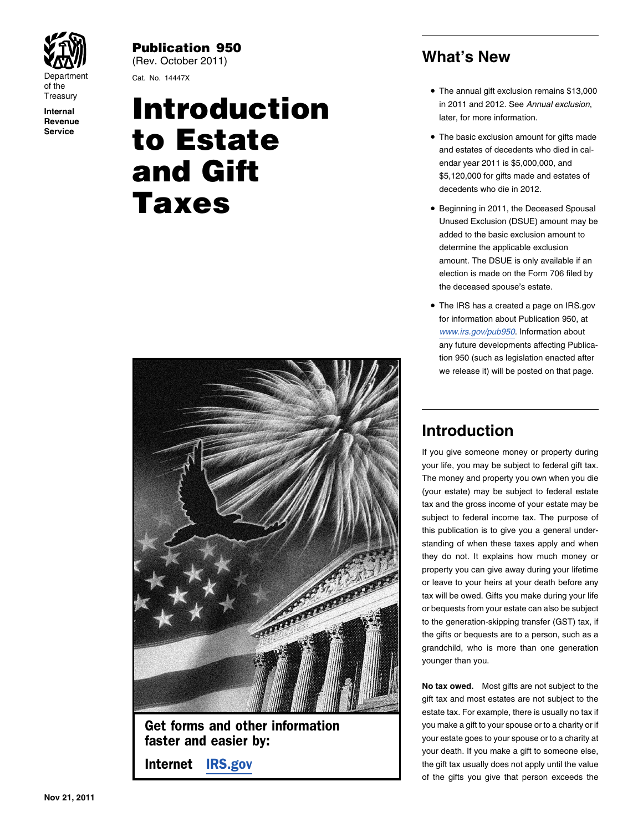

of the

**Service**

Publication 950 (Rev. October 2011) **What's New**

Department Cat. No. 14447X

### Treasury<br> **INTRODUCTION** Internal Internal Internal *in 2011 and 2012. See Annual exclusion*,<br>
Revenue **Revenue The basic exclusion amount for gifts made**<br>and estates of decedents who died in calendar year 2011 is \$5,000,000, and **Gift Cift Structure Contains** the states of states of decedents who die in 2012.<br>
Supering in 2011, the Deceased Spousal<br>
Supering in 2011, the Deceased Spousal



Get forms and other information **you make a gift to your spouse or to a charity or if** 

- or the annual gift exclusion remains \$13,000<br>Treasury **Exercise Contract Contract Contract Contract Contract Contract Contract Contract Contract Contract Contract Contract Contract Contract Contract Contract Contract Contr** 
	- The basic exclusion amount for gifts made
	- Unused Exclusion (DSUE) amount may be added to the basic exclusion amount to determine the applicable exclusion amount. The DSUE is only available if an election is made on the Form 706 filed by the deceased spouse's estate.
	- The IRS has a created a page on IRS.gov for information about Publication 950, at *<www.irs.gov/pub950>*. Information about any future developments affecting Publication 950 (such as legislation enacted after we release it) will be posted on that page.

### **Introduction**

If you give someone money or property during your life, you may be subject to federal gift tax. The money and property you own when you die (your estate) may be subject to federal estate tax and the gross income of your estate may be subject to federal income tax. The purpose of this publication is to give you a general understanding of when these taxes apply and when they do not. It explains how much money or property you can give away during your lifetime or leave to your heirs at your death before any tax will be owed. Gifts you make during your life or bequests from your estate can also be subject to the generation-skipping transfer (GST) tax, if the gifts or bequests are to a person, such as a grandchild, who is more than one generation younger than you.

**No tax owed.** Most gifts are not subject to the gift tax and most estates are not subject to the estate tax. For example, there is usually no tax if **faster and easier by:** your estate goes to your spouse or to a charity at your death. If you make a gift to someone else, **Internet [IRS.gov](www.IRS.gov) the gift tax usually does not apply until the value** of the gifts you give that person exceeds the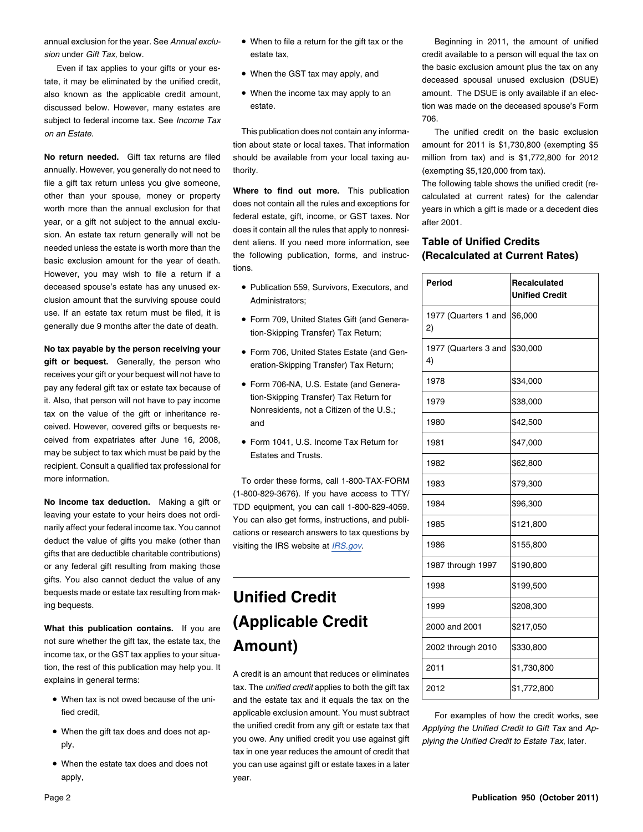tate, it may be eliminated by the unified credit, subject to federal income tax. See *Income Tax* 706.

annually. However, you generally do not need to thority. The same of the state of the state of the state of thority. file a gift tax return unless you give someone,<br>other than your spouse, money or property<br>worth more than the annual exclusion for that<br>worth more than the annual exclusion for that<br>year, or a gift not subject to the annua the following publication, and instruction at the year of death. The wish to file a return if a deceased spouse's estate has any unused ex- • Publication 559, Survivors, Executors, and clusion amount that the surviving spouse could Administrators; use. If an estate tax return must be filed, it is <br>
• Form 709, United States Gift (and Genera-

No tax payable by the person receiving your gift or bequest. Generally, the person who eration-Skipping Transfer) Tax Return; receives your gift or your bequest will not have to<br>now any federal gift tox or estate tox because of • Form 706-NA, U.S. Estate (and Generapay any federal gift tax or estate tax because of  $\bullet$  Form 706-NA, U.S. Estate (and General gift tax or estate tax because of  $\bullet$  form 706-NA, U.S. Estate (and General gift tax or estate tax because of  $\bullet$  form. Skippin it. Also, that person will not have to pay income  $\frac{100 - SNpping}{100 - Skpping}$  Transfer) Tax Return for it. Nonresidents, not a Citizen of the U.S.; tax on the value of the gift or inheritance received. However, covered gifts or bequests re-<br>and ceived from expatriates after June 16, 2008, may be subject to tax which must be paid by the Estates and Trusts. recipient. Consult a qualified tax professional for more information. To order these forms, call 1-800-TAX-FORM

**No income tax deduction.** Making a gift or 1986 TDD equipment, you can call 1-800-829-4059.<br>leaving your estate to your heirs does not ordileaving your estate to your heirs does not ordi-<br>narily affect your federal income tax. You cannot cations or research answers to tax questions by deduct the value of gifts you make (other than visiting the IRS website at *[IRS.gov](www.irs.gov).* gifts that are deductible charitable contributions) or any federal gift resulting from making those gifts. You also cannot deduct the value of any **1998** \$199,500 bequests made or estate tax resulting from mak-<br>bequests made or estate tax resulting from mak- **Unified Credit** 1999 \$208,300

not sure whether the gift tax, the estate tax, the **Amount**) income tax, or the GST tax applies to your situation, the rest of this publication may help you. It<br>2011 A credit is an amount that reduces or eliminates<br>tax. The *unified credit* applies to both the gift tax

- When tax is not owed because of the uni-
- 
- When the estate tax does and does not apply, year.
- 
- 
- 

*on an Estate*. This publication does not contain any informa- The unified credit on the basic exclusion tion about state or local taxes. That information amount for 2011 is \$1,730,800 (exempting \$5 **No return needed.** Gift tax returns are filed should be available from your local taxing au- million from tax) and is \$1,772,800 for 2012

sion. An estate tax return generally will not be<br>needed unless the estate is worth more than the<br>headed unless the estate is worth more than the<br>headed unless the estate is worth more than the<br>headed unless the estate is w

- 
- generally due 9 months after the date of death.<br>2) tion-Skipping Transfer) Tax Return;
	- Form 706, United States Estate (and Gen-
	-
	- Form 1041, U.S. Income Tax Return for

(1-800-829-3676). If you have access to TTY/

# What this publication contains. If you are **(Applicable Credit**

and the estate tax and it equals the tax on the fied credit, **and the credit constant of the exclusion amount.** You must subtract For examples of how the credit works, see the unified credit from any gift or estate tax that *Applying the Unified Credit to Gift Tax* and *Ap-* •you owe. Any unified credit you use against gift *plying the Unified Credit to Estate Tax*, later.<br>ply, tax in one year reduces the amount of credit that you can use against gift or estate taxes in a later

annual exclusion for the year. See *Annual exclu-* • When to file a return for the gift tax or the Beginning in 2011, the amount of unified *sion* under *Gift Tax*, below. estate tax, estate tax, estate tax, credit available to a person will equal the tax on Even if tax applies to your gifts or your es-<br>example as The Basic exclusion amount plus the tax on any explicie the basic exclusion amount plus the tax on any<br>deceased spousal unused exclusion (DSUE) also known as the applicable credit amount, . When the income tax may apply to an amount. The DSUE is only available if an elecdiscussed below. However, many estates are estate. The estate estate are estate on the deceased spouse's Form

| Period                     | <b>Recalculated</b><br><b>Unified Credit</b> |
|----------------------------|----------------------------------------------|
| 1977 (Quarters 1 and<br>2) | \$6,000                                      |
| 1977 (Quarters 3 and<br>4) | \$30,000                                     |
| 1978                       | \$34,000                                     |
| 1979                       | \$38,000                                     |
| 1980                       | \$42,500                                     |
| 1981                       | \$47,000                                     |
| 1982                       | \$62,800                                     |
| 1983                       | \$79,300                                     |
| 1984                       | \$96,300                                     |
| 1985                       | \$121,800                                    |
| 1986                       | \$155,800                                    |
| 1987 through 1997          | \$190,800                                    |
| 1998                       | \$199,500                                    |
| 1999                       | \$208,300                                    |
| 2000 and 2001              | \$217,050                                    |
| 2002 through 2010          | \$330,800                                    |
| 2011                       | \$1,730,800                                  |
| 2012                       | \$1,772,800                                  |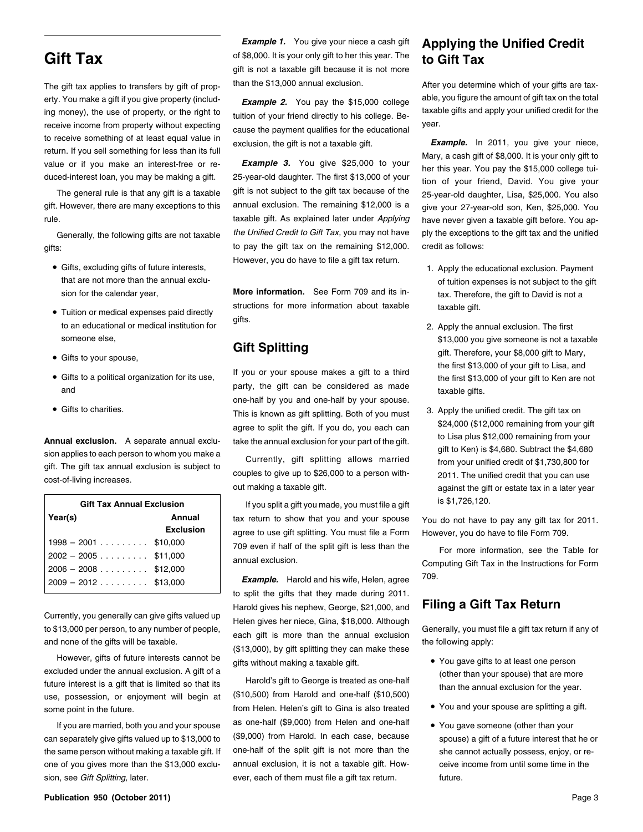receive income from property without expecting cause the payment qualifies for the educational<br>to receive something of at least equal value in

gifts: to pay the gift tax on the remaining \$12,000. credit as follows:

- Gifts, excluding gifts of future interests,
- to an educational or medical institution for the state of the state of the annual exclusion. The first to an educational or medical institution for
- 
- 
- Gifts to charities.

| <b>Gift Tax Annual Exclusion</b>                                                        |                            | If you split a gift you made, you must file a gift                                               | is \$1,726,120.                                                                            |
|-----------------------------------------------------------------------------------------|----------------------------|--------------------------------------------------------------------------------------------------|--------------------------------------------------------------------------------------------|
| Year(s)                                                                                 | Annual<br><b>Exclusion</b> | tax return to show that you and your spouse<br>agree to use gift splitting. You must file a Form | You do not have to pay any gift tax for 2011.<br>However, you do have to file Form 709.    |
| $1998 - 2001$ \$10,000<br>$2002 - 2005 \dots$ \$11,000<br>$12006 - 2008 \dots$ \$12.000 |                            | 709 even if half of the split gift is less than the<br>annual exclusion.                         | For more information, see the Table for<br>Computing Gift Tax in the Instructions for Form |
| $12009 - 2012$ \$13.000                                                                 |                            | <b>Example.</b> Harold and his wife, Helen, agree                                                | 709.                                                                                       |

However, gifts of future interests cannot be gifts without making a taxable gift.<br>
excluded under the annual exclusion. A gift of a excluded under the annual exclusion. A gift of a<br>future interest is a gift that is limited so that its harold's gift to George is treated as one-half (\$10,500<br>use, possession, or enjoyment will begin at (\$10,500) from Haro some point in the future. The space are splitting a gift to Gina is also treated

**Gift Tax** of \$8,000. It is your only gift to her this year. The **to Gift Tax** gift is not a taxable gift because it is not more

ing money), the use of property, or the right to taxit directly to his college. Be-<br>receive income from property without expecting and the neument sublified for the advertised. Year.

value or if you make an interest-free or re-<br>duced-interest loan, you may be making a gift. 25-year-old daughter. The first \$13,000 of your tion of your friend Dovid, You give your duced-interest loan, wou may be making a give many discussed with the series of the series of the special daughter. The first \$13,000 or your friend, David. You give your first \$13,000 of you also The general rule is that any gift is a taxable gift is not subject to the gift tax because of the 25-year-old daughter, Lisa, \$25,000. You also gift. However, there are many exceptions to this annual exclusion. The remaining \$12,000 is a give your 27-year-old son, Ken, \$25,000. You rule. taxable gift. As explained later under *Applying* have never given a taxable gift before. You ap-Generally, the following gifts are not taxable the Unified Credit to Gift Tax, you may not have ply the exceptions to the gift tax and the unified However, you do have to file a gift tax return.

sion for the calendar year, **More information.** See Form 709 and its in-<br>tax. Therefore, the gift to David is not a • Tuition or medical expenses paid directly structions for more information about taxable taxable gift.<br>
gifts.

and to a party, the gift can be considered as made taxable gifts. one-half by you and one-half by your spouse. This is known as gift splitting. Both of you must 3. Apply the unified credit. The gift tax on This is known as gift splitting. Both of you must 324,000 (\$12,000 remaining from your gift agree to split the gift. If you do, you each can<br>to Lisa plus \$12,000 remaining from your

**Example.** Harold and his wife, Helen, agree 709. to split the gifts that they made during 2011. Harold gives his nephew, George, \$21,000, and **Filing a Gift Tax Return** Currently, you generally can give gifts valued up<br>to \$13,000 per person, to any number of people, each gift is more than the annual exclusion Generally, you must file a gift tax return if any of<br>and none of the gifts will

If you are married, both you and your spouse as one-half (\$9,000) from Helen and one-half • You gave someone (other than your can separately give gifts valued up to \$13,000 to (\$9,000) from Harold. In each case, because spouse) a gift of a future interest that he or the same person without making a taxable gift. If one-half of the split gift is not more than the she cannot actually possess, enjoy, or reone of you gives more than the \$13,000 exclu- annual exclusion, it is not a taxable gift. How- ceive income from until some time in the sion, see *Gift Splitting*, later. **execution of them must file a gift tax return.** *future.* **future.** 

### *Example 1.* You give your niece a cash gift **Applying the Unified Credit**

The gift tax applies to transfers by gift of prop-<br>
than the \$13,000 annual exclusion.<br>
After you determine which of your gifts are taxerty. You make a gift if you give property (includ-<br>ing money), the use of property, or the right to *tuition of your friend directly to bis college* taxable gifts and apply your unified credit for the

to receive something of at least equal value in exclusion, the gift is not a taxable gift. **Example.** In 2011, you give your niece, return. If you sell something for less than its full return. If you sell something for less than its full Mary, a cash gift of \$8,000. It is your only gift to<br>Value or if you make an interest-free or re-<br>Land Diver \$25,000 to your the this year. May acut to \$15,000 sellens t

- 1. Apply the educational exclusion. Payment that are not more than the annual exclu- of tuition expenses is not subject to the gift
- someone else,<br> **Gift Splitting** State and a taxable someone is not a taxable someone is not a taxable someone is not a taxable **Gifts to your spouse, Gift Splitting** Gift. Therefore, your \$8,000 gift to Mary, The first \$13,000 of your gift to Lisa, and<br>Gifts to a political organization for its use, If you or your spouse makes a gift to a third the first \$13,000 of your gift to Ken are not
- **Annual exclusion.** A separate annual exclusion to your part of the gift.<br>
sion applies to each person to whom you make a<br>
gift. The gift tax annual exclusion is subject to<br>
cost-of-living increases.<br>
cost-of-living increa

- 
- You and your spouse are splitting a gift.
-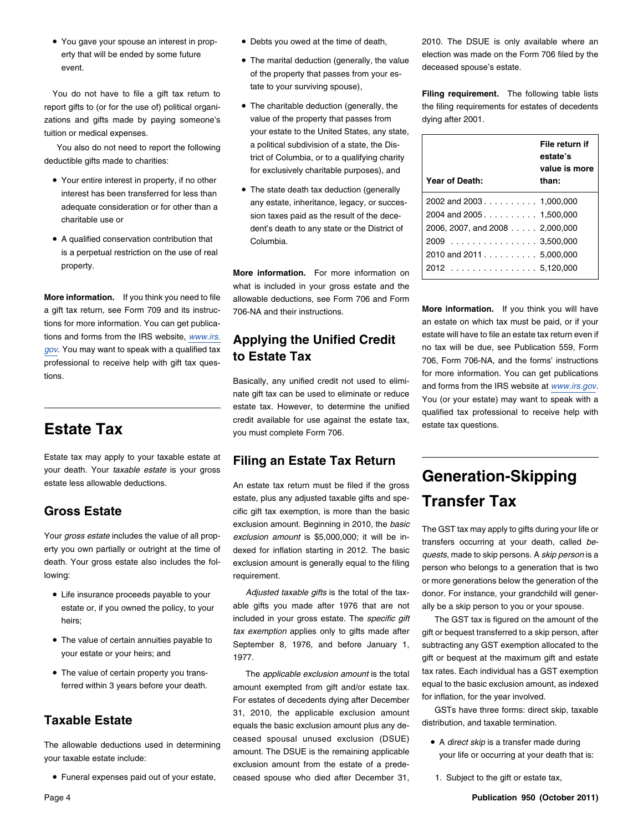• You gave your spouse an interest in prop-

report gifts to (or for the use of) political organi- • The charitable deduction (generally, the the filing requirements for estates of decedents zations and gifts made by paying someone's value of the property that passes from dying after 2001. tuition or medical expenses. The value of the United States, any state,

deductible gifts made to charities: **example 20** trict of Columbia, or to a qualifying charity

- Your entire interest in property, if no other **Year of Death: Year of Death: than: than: than:**
- is a perpetual restriction on the use of real

tions for more information. You can get publica-<br> **All the paid of the state on which tax must be paid, or if your** tions for more information. You can get publica $g_{\text{ov}}$ . You may want to speak with a qualified tax  $\text{to}$  **Estate Tax** professional to receive help with gift tax ques-<br> **to Estate Tax** 706 To 706, Form 706-NA, and the forms' instructions

Estate tax may apply to your taxable estate at **Filing an Estate Tax Return** your death. Your *taxable estate* is your gross your death. Your laxable estate is your gross<br>estate less allowable deductions. An estate tax return must be filed if the gross **Generation-Skipping** 

erty you own partially or outright at the time of dexed for inflation starting in 2012. The basic quests, made to skip persons. A *skip person* is a death. Your gross estate also includes the fol-<br>death. Your gross estate

- Life insurance proceeds payable to your
- The value of certain annuities payable to
- The value of certain property you trans-

• Funeral expenses paid out of your estate,

- 
- of the property that passes from your estate to your surviving spouse), You do not have to file a gift tax return to **Filing requirement.** The following table lists
- You also do not need to report the following a political subdivision of a state, the Disfor exclusively charitable purposes), and
- The state death tax deduction (generally interest has been transferred for less than adequate consideration or for other than a <sup>200</sup>2 any estate, inheritance, legacy, or succescharitable use or **2004** and 2004 and 2004 sion taxes paid as the result of the decedent's death to any state or the District of • A qualified conservation contribution that Columbia. <sup>2009</sup> ............... . 3,500,000

property. <sup>2012</sup> ............... . 5,120,000 **More information.** For more information on what is included in your gross estate and the **More information.** If you think you need to file allowable deductions, see Form 706 and Form a gift tax return, see Form 709 and its instruc- 706-NA and their instructions. **More information.** If you think you will have

tions.<br>
Basically, any unified credit not used to elimi-<br>
nate gift tax can be used to eliminate or reduce<br>
estate tax. However, to determine the unified<br>
credit available for use against the estate tax,<br>
you must complete

estate, plus any adjusted taxable gifts and spe-<br>**Gross Estate** cific gift tax exemption, is more than the basic<br>**Gross Estate** circ exclusion amount. Beginning in 2010, the *basic*<br>Your gross estate includes the value of all prop-exclusion amount is \$5,000,000; it will be in-<br>erty you own partially or outright at the time of dexed for inflation startin

estate or, if you owned the policy, to your able gifts you made after 1976 that are not ally be a skip person to you or your spouse. heirs: **included in your gross estate.** The *specific gift* The GST tax is figured on the amount of the *tax exemption* applies only to gifts made after gift or bequest transferred to a skip person, after The value of certain annuities payable to September 8, 1976, and before January 1, subtracting any GST exemption allocated to the your estate or your heirs; and  $1077$ 1977. The state of the state or your estate or bequest at the maximum gift and estate

ferred within 3 years before your death. emount exempted from gift and/or estate tax. equal to the basic exclusion amount, as indexed<br>Entertates of decedents dying after December for inflation, for the year involved. For estates of decedents dying after December for inflation, for the year involved.<br>31 - 2010 - the annlicable exclusion amount GSTs have three forms: direct skip, taxable GSTS have three forms: direct skip-<br>equals the basic exclusion amount plus any de-<br>distribution, and taxable termination. ceased spousal unused exclusion (DSUE) . A direct skip is a transfer made during The allowable deductions used in determining<br>
amount. The DSUE is the remaining applicable<br>
exclusion amount from the estate of a prede-<br>
exclusion amount from the estate of a prede-<br>
exclusion amount from the estate of a ceased spouse who died after December 31, 1. Subject to the gift or estate tax,

• Debts you owed at the time of death, 2010. The DSUE is only available where an erty that will be ended by some future **example 20** The marital deduction (generally, the value election was made on the Form 706 filed by the •<br>event.

| Year of Death:                 | File return if<br>estate's<br>value is more<br>than: |
|--------------------------------|------------------------------------------------------|
|                                |                                                      |
| 2004 and 2005 1,500,000        |                                                      |
| 2006, 2007, and 2008 2,000,000 |                                                      |
| $2009$ 3,500,000               |                                                      |
| 2010 and 2011. 5,000,000       |                                                      |
| 2012<br>. 5,120,000            |                                                      |

tions and forms from the IRS website, *[www.irs.](http://www.irs.gov/formspubs/index.html?portlet=103)* **Applying the Unified Credit** estate will have to file an estate tax return even if the Unified Credit on the IRS website, *www.irs.* **Applying the Unified Credit** on tax wi

death. Your gross estate also includes the for- exclusion amount is generally equal to the filling person who belongs to a generation that is two requirement. or more generations below the generation of the generation of t Adjusted taxable gifts is the total of the tax- donor. For instance, your grandchild will gener-

The *applicable exclusion amount* is the total tax rates. Each individual has a GST exemption

- 
-